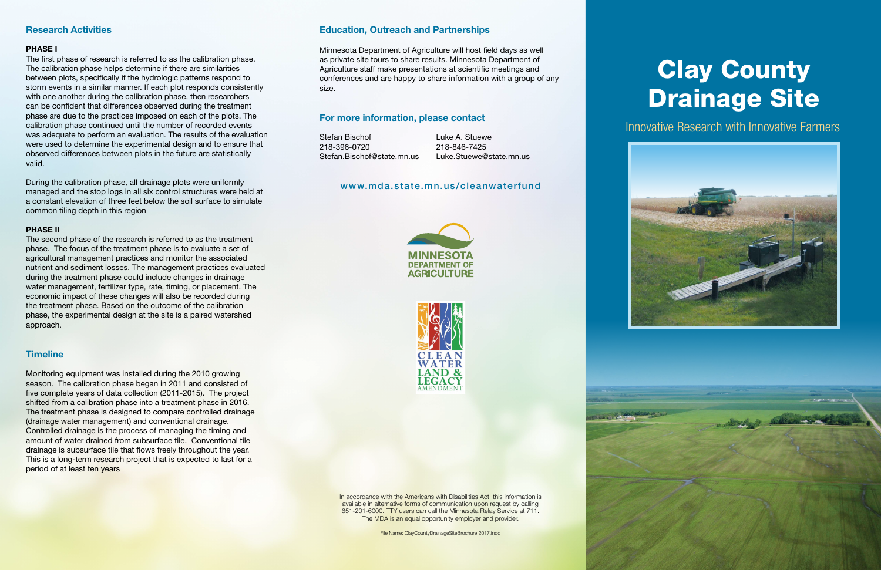In accordance with the Americans with Disabilities Act, this information is available in alternative forms of communication upon request by calling 651-201-6000. TTY users can call the Minnesota Relay Service at 711. The MDA is an equal opportunity employer and provider.

File Name: ClayCountyDrainageSiteBrochure 2017.indd

## **Research Activities**

#### **PHASE I**

The first phase of research is referred to as the calibration phase. The calibration phase helps determine if there are similarities between plots, specifically if the hydrologic patterns respond to storm events in a similar manner. If each plot responds consistently with one another during the calibration phase, then researchers can be confident that differences observed during the treatment phase are due to the practices imposed on each of the plots. The calibration phase continued until the number of recorded events was adequate to perform an evaluation. The results of the evaluation were used to determine the experimental design and to ensure that observed differences between plots in the future are statistically valid.

During the calibration phase, all drainage plots were uniformly managed and the stop logs in all six control structures were held at a constant elevation of three feet below the soil surface to simulate common tiling depth in this region

### **PHASE II**

# **Clay County** Drainage Site

The second phase of the research is referred to as the treatment phase. The focus of the treatment phase is to evaluate a set of agricultural management practices and monitor the associated nutrient and sediment losses. The management practices evaluated during the treatment phase could include changes in drainage water management, fertilizer type, rate, timing, or placement. The economic impact of these changes will also be recorded during the treatment phase. Based on the outcome of the calibration phase, the experimental design at the site is a paired watershed approach.

## **Timeline**

Monitoring equipment was installed during the 2010 growing season. The calibration phase began in 2011 and consisted of five complete years of data collection (2011-2015). The project shifted from a calibration phase into a treatment phase in 2016. The treatment phase is designed to compare controlled drainage (drainage water management) and conventional drainage. Controlled drainage is the process of managing the timing and amount of water drained from subsurface tile. Conventional tile drainage is subsurface tile that flows freely throughout the year. This is a long-term research project that is expected to last for a period of at least ten years

## **Education, Outreach and Partnerships**

Minnesota Department of Agriculture will host field days as well as private site tours to share results. Minnesota Department of Agriculture staff make presentations at scientific meetings and conferences and are happy to share information with a group of any size.

## **For more information, please contact**

Stefan Bischof Luke A. Stuewe 218-396-0720 218-846-7425

Stefan.Bischof@state.mn.us Luke.Stuewe@state.mn.us

## www.mda.state.mn.us/cleanwaterfund





# Innovative Research with Innovative Farmers